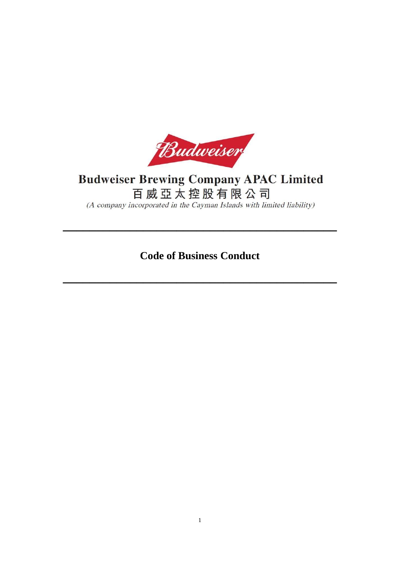

# **Budweiser Brewing Company APAC Limited**

百威亞太控股有限公司

(A company incorporated in the Cayman Islands with limited liability)

**Code of Business Conduct**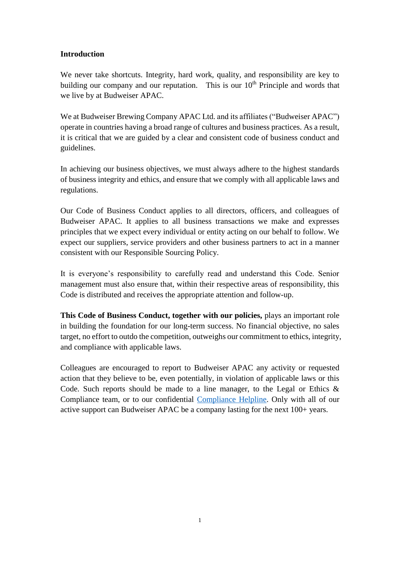#### **Introduction**

We never take shortcuts. Integrity, hard work, quality, and responsibility are key to building our company and our reputation. This is our  $10<sup>th</sup>$  Principle and words that we live by at Budweiser APAC.

We at Budweiser Brewing Company APAC Ltd. and its affiliates ("Budweiser APAC") operate in countries having a broad range of cultures and business practices. As a result, it is critical that we are guided by a clear and consistent code of business conduct and guidelines.

In achieving our business objectives, we must always adhere to the highest standards of business integrity and ethics, and ensure that we comply with all applicable laws and regulations.

Our Code of Business Conduct applies to all directors, officers, and colleagues of Budweiser APAC. It applies to all business transactions we make and expresses principles that we expect every individual or entity acting on our behalf to follow. We expect our suppliers, service providers and other business partners to act in a manner consistent with our Responsible Sourcing Policy.

It is everyone's responsibility to carefully read and understand this Code. Senior management must also ensure that, within their respective areas of responsibility, this Code is distributed and receives the appropriate attention and follow-up.

**This Code of Business Conduct, together with our policies,** plays an important role in building the foundation for our long-term success. No financial objective, no sales target, no effort to outdo the competition, outweighs our commitment to ethics, integrity, and compliance with applicable laws.

Colleagues are encouraged to report to Budweiser APAC any activity or requested action that they believe to be, even potentially, in violation of applicable laws or this Code. Such reports should be made to a line manager, to the Legal or Ethics  $\&$ Compliance team, or to our confidential [Compliance Helpline.](http://www.budweiserapac.com/caseReport) Only with all of our active support can Budweiser APAC be a company lasting for the next 100+ years.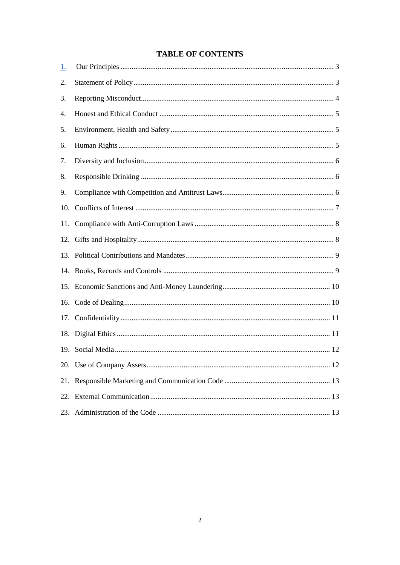## **TABLE OF CONTENTS**

| <u>1.</u> |  |
|-----------|--|
| 2.        |  |
| 3.        |  |
| 4.        |  |
| 5.        |  |
| 6.        |  |
| 7.        |  |
| 8.        |  |
| 9.        |  |
| 10.       |  |
|           |  |
|           |  |
|           |  |
|           |  |
|           |  |
|           |  |
|           |  |
|           |  |
|           |  |
|           |  |
|           |  |
|           |  |
|           |  |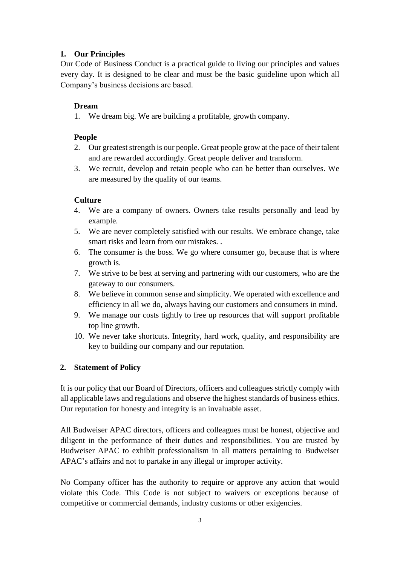## <span id="page-3-0"></span>**1. Our Principles**

Our Code of Business Conduct is a practical guide to living our principles and values every day. It is designed to be clear and must be the basic guideline upon which all Company's business decisions are based.

## **Dream**

1. We dream big. We are building a profitable, growth company.

## **People**

- 2. Our greatest strength is our people. Great people grow at the pace of their talent and are rewarded accordingly. Great people deliver and transform.
- 3. We recruit, develop and retain people who can be better than ourselves. We are measured by the quality of our teams.

## **Culture**

- 4. We are a company of owners. Owners take results personally and lead by example.
- 5. We are never completely satisfied with our results. We embrace change, take smart risks and learn from our mistakes. .
- 6. The consumer is the boss. We go where consumer go, because that is where growth is.
- 7. We strive to be best at serving and partnering with our customers, who are the gateway to our consumers.
- 8. We believe in common sense and simplicity. We operated with excellence and efficiency in all we do, always having our customers and consumers in mind.
- 9. We manage our costs tightly to free up resources that will support profitable top line growth.
- 10. We never take shortcuts. Integrity, hard work, quality, and responsibility are key to building our company and our reputation.

# <span id="page-3-1"></span>**2. Statement of Policy**

It is our policy that our Board of Directors, officers and colleagues strictly comply with all applicable laws and regulations and observe the highest standards of business ethics. Our reputation for honesty and integrity is an invaluable asset.

All Budweiser APAC directors, officers and colleagues must be honest, objective and diligent in the performance of their duties and responsibilities. You are trusted by Budweiser APAC to exhibit professionalism in all matters pertaining to Budweiser APAC's affairs and not to partake in any illegal or improper activity.

No Company officer has the authority to require or approve any action that would violate this Code. This Code is not subject to waivers or exceptions because of competitive or commercial demands, industry customs or other exigencies.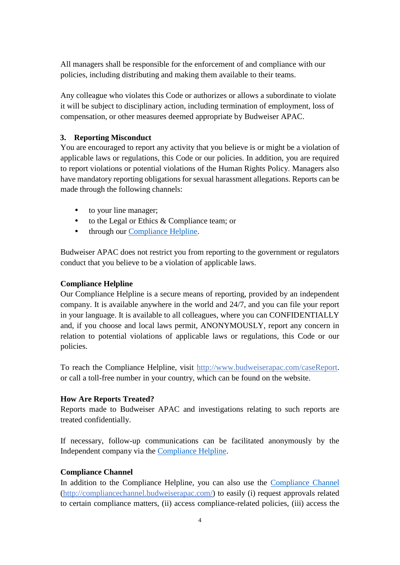All managers shall be responsible for the enforcement of and compliance with our policies, including distributing and making them available to their teams.

Any colleague who violates this Code or authorizes or allows a subordinate to violate it will be subject to disciplinary action, including termination of employment, loss of compensation, or other measures deemed appropriate by Budweiser APAC.

#### <span id="page-4-0"></span>**3. Reporting Misconduct**

You are encouraged to report any activity that you believe is or might be a violation of applicable laws or regulations, this Code or our policies. In addition, you are required to report violations or potential violations of the Human Rights Policy. Managers also have mandatory reporting obligations for sexual harassment allegations. Reports can be made through the following channels:

- to your line manager;
- to the Legal or Ethics & Compliance team; or
- through our [Compliance Helpline.](http://www.budweiserapac.com/caseReport)

Budweiser APAC does not restrict you from reporting to the government or regulators conduct that you believe to be a violation of applicable laws.

#### **Compliance Helpline**

Our Compliance Helpline is a secure means of reporting, provided by an independent company. It is available anywhere in the world and 24/7, and you can file your report in your language. It is available to all colleagues, where you can CONFIDENTIALLY and, if you choose and local laws permit, ANONYMOUSLY, report any concern in relation to potential violations of applicable laws or regulations, this Code or our policies.

To reach the Compliance Helpline, visit http://www.budweiserapac.com/caseReport. or call a toll-free number in your country, which can be found on the website.

#### **How Are Reports Treated?**

Reports made to Budweiser APAC and investigations relating to such reports are treated confidentially.

If necessary, follow-up communications can be facilitated anonymously by the Independent company via the [Compliance Helpline.](http://www.budweiserapac.com/caseReport)

#### **Compliance Channel**

In addition to the Compliance Helpline, you can also use the [Compliance Channel](http://compliancechannel.budweiserapac.com/) (http://compliancechannel.budweiserapac.com/) to easily (i) request approvals related to certain compliance matters, (ii) access compliance-related policies, (iii) access the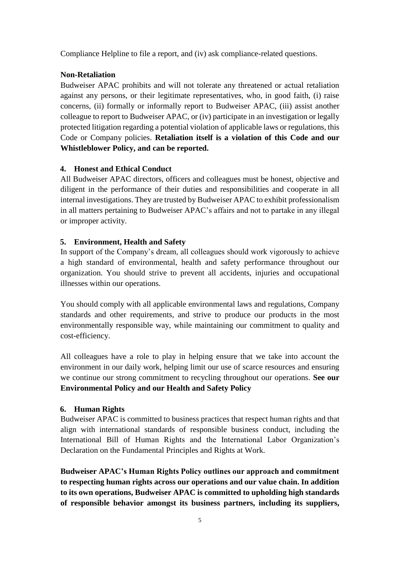Compliance Helpline to file a report, and (iv) ask compliance-related questions.

#### **Non-Retaliation**

Budweiser APAC prohibits and will not tolerate any threatened or actual retaliation against any persons, or their legitimate representatives, who, in good faith, (i) raise concerns, (ii) formally or informally report to Budweiser APAC, (iii) assist another colleague to report to Budweiser APAC, or (iv) participate in an investigation or legally protected litigation regarding a potential violation of applicable laws or regulations, this Code or Company policies. **Retaliation itself is a violation of this Code and our Whistleblower Policy, and can be reported.**

## <span id="page-5-0"></span>**4. Honest and Ethical Conduct**

All Budweiser APAC directors, officers and colleagues must be honest, objective and diligent in the performance of their duties and responsibilities and cooperate in all internal investigations. They are trusted by Budweiser APAC to exhibit professionalism in all matters pertaining to Budweiser APAC's affairs and not to partake in any illegal or improper activity.

## <span id="page-5-1"></span>**5. Environment, Health and Safety**

In support of the Company's dream, all colleagues should work vigorously to achieve a high standard of environmental, health and safety performance throughout our organization. You should strive to prevent all accidents, injuries and occupational illnesses within our operations.

You should comply with all applicable environmental laws and regulations, Company standards and other requirements, and strive to produce our products in the most environmentally responsible way, while maintaining our commitment to quality and cost-efficiency.

All colleagues have a role to play in helping ensure that we take into account the environment in our daily work, helping limit our use of scarce resources and ensuring we continue our strong commitment to recycling throughout our operations. **See our Environmental Policy and our Health and Safety Policy**

#### <span id="page-5-2"></span>**6. Human Rights**

Budweiser APAC is committed to business practices that respect human rights and that align with international standards of responsible business conduct, including the International Bill of Human Rights and the International Labor Organization's Declaration on the Fundamental Principles and Rights at Work.

**Budweiser APAC's Human Rights Policy outlines our approach and commitment to respecting human rights across our operations and our value chain. In addition to its own operations, Budweiser APAC is committed to upholding high standards of responsible behavior amongst its business partners, including its suppliers,**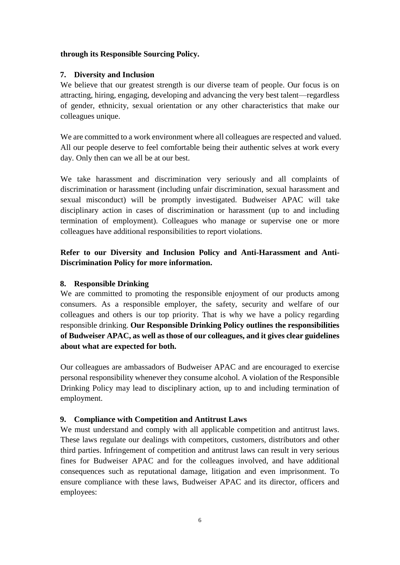#### **through its Responsible Sourcing Policy.**

#### <span id="page-6-0"></span>**7. Diversity and Inclusion**

We believe that our greatest strength is our diverse team of people. Our focus is on attracting, hiring, engaging, developing and advancing the very best talent—regardless of gender, ethnicity, sexual orientation or any other characteristics that make our colleagues unique.

We are committed to a work environment where all colleagues are respected and valued. All our people deserve to feel comfortable being their authentic selves at work every day. Only then can we all be at our best.

We take harassment and discrimination very seriously and all complaints of discrimination or harassment (including unfair discrimination, sexual harassment and sexual misconduct) will be promptly investigated. Budweiser APAC will take disciplinary action in cases of discrimination or harassment (up to and including termination of employment). Colleagues who manage or supervise one or more colleagues have additional responsibilities to report violations.

# **Refer to our Diversity and Inclusion Policy and Anti-Harassment and Anti-Discrimination Policy for more information.**

#### <span id="page-6-1"></span>**8. Responsible Drinking**

We are committed to promoting the responsible enjoyment of our products among consumers. As a responsible employer, the safety, security and welfare of our colleagues and others is our top priority. That is why we have a policy regarding responsible drinking. **Our Responsible Drinking Policy outlines the responsibilities of Budweiser APAC, as well as those of our colleagues, and it gives clear guidelines about what are expected for both.**

Our colleagues are ambassadors of Budweiser APAC and are encouraged to exercise personal responsibility whenever they consume alcohol. A violation of the Responsible Drinking Policy may lead to disciplinary action, up to and including termination of employment.

## <span id="page-6-2"></span>**9. Compliance with Competition and Antitrust Laws**

We must understand and comply with all applicable competition and antitrust laws. These laws regulate our dealings with competitors, customers, distributors and other third parties. Infringement of competition and antitrust laws can result in very serious fines for Budweiser APAC and for the colleagues involved, and have additional consequences such as reputational damage, litigation and even imprisonment. To ensure compliance with these laws, Budweiser APAC and its director, officers and employees: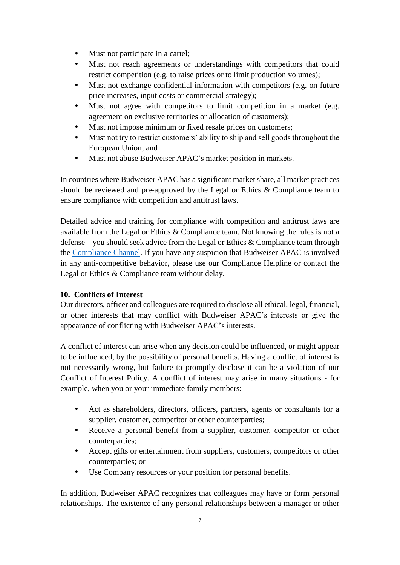- Must not participate in a cartel;
- Must not reach agreements or understandings with competitors that could restrict competition (e.g. to raise prices or to limit production volumes);
- Must not exchange confidential information with competitors (e.g. on future price increases, input costs or commercial strategy);
- Must not agree with competitors to limit competition in a market (e.g. agreement on exclusive territories or allocation of customers);
- Must not impose minimum or fixed resale prices on customers;
- Must not try to restrict customers' ability to ship and sell goods throughout the European Union; and
- Must not abuse Budweiser APAC's market position in markets.

In countries where Budweiser APAC has a significant market share, all market practices should be reviewed and pre-approved by the Legal or Ethics & Compliance team to ensure compliance with competition and antitrust laws.

Detailed advice and training for compliance with competition and antitrust laws are available from the Legal or Ethics & Compliance team. Not knowing the rules is not a defense – you should seek advice from the Legal or Ethics & Compliance team through the [Compliance Channel.](http://compliancechannel.budweiserapac.com/) If you have any suspicion that Budweiser APAC is involved in any anti-competitive behavior, please use our Compliance Helpline or contact the Legal or Ethics & Compliance team without delay.

## <span id="page-7-0"></span>**10. Conflicts of Interest**

Our directors, officer and colleagues are required to disclose all ethical, legal, financial, or other interests that may conflict with Budweiser APAC's interests or give the appearance of conflicting with Budweiser APAC's interests.

A conflict of interest can arise when any decision could be influenced, or might appear to be influenced, by the possibility of personal benefits. Having a conflict of interest is not necessarily wrong, but failure to promptly disclose it can be a violation of our Conflict of Interest Policy. A conflict of interest may arise in many situations - for example, when you or your immediate family members:

- Act as shareholders, directors, officers, partners, agents or consultants for a supplier, customer, competitor or other counterparties;
- Receive a personal benefit from a supplier, customer, competitor or other counterparties;
- Accept gifts or entertainment from suppliers, customers, competitors or other counterparties; or
- Use Company resources or your position for personal benefits.

In addition, Budweiser APAC recognizes that colleagues may have or form personal relationships. The existence of any personal relationships between a manager or other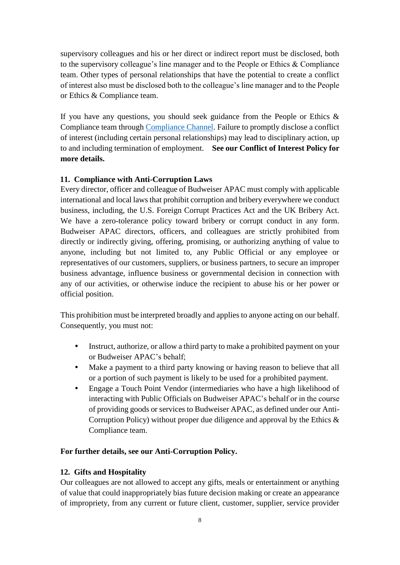supervisory colleagues and his or her direct or indirect report must be disclosed, both to the supervisory colleague's line manager and to the People or Ethics & Compliance team. Other types of personal relationships that have the potential to create a conflict of interest also must be disclosed both to the colleague's line manager and to the People or Ethics & Compliance team.

If you have any questions, you should seek guidance from the People or Ethics  $\&$ Compliance team through [Compliance Channel.](http://compliancechannel.budweiserapac.com/) Failure to promptly disclose a conflict of interest (including certain personal relationships) may lead to disciplinary action, up to and including termination of employment. **See our Conflict of Interest Policy for more details.**

#### <span id="page-8-0"></span>**11. Compliance with Anti-Corruption Laws**

Every director, officer and colleague of Budweiser APAC must comply with applicable international and local laws that prohibit corruption and bribery everywhere we conduct business, including, the U.S. Foreign Corrupt Practices Act and the UK Bribery Act. We have a zero-tolerance policy toward bribery or corrupt conduct in any form. Budweiser APAC directors, officers, and colleagues are strictly prohibited from directly or indirectly giving, offering, promising, or authorizing anything of value to anyone, including but not limited to, any Public Official or any employee or representatives of our customers, suppliers, or business partners, to secure an improper business advantage, influence business or governmental decision in connection with any of our activities, or otherwise induce the recipient to abuse his or her power or official position.

This prohibition must be interpreted broadly and applies to anyone acting on our behalf. Consequently, you must not:

- Instruct, authorize, or allow a third party to make a prohibited payment on your or Budweiser APAC's behalf;
- Make a payment to a third party knowing or having reason to believe that all or a portion of such payment is likely to be used for a prohibited payment.
- Engage a Touch Point Vendor (intermediaries who have a high likelihood of interacting with Public Officials on Budweiser APAC's behalf or in the course of providing goods or services to Budweiser APAC, as defined under our Anti-Corruption Policy) without proper due diligence and approval by the Ethics  $\&$ Compliance team.

#### **For further details, see our Anti-Corruption Policy.**

#### <span id="page-8-1"></span>**12. Gifts and Hospitality**

Our colleagues are not allowed to accept any gifts, meals or entertainment or anything of value that could inappropriately bias future decision making or create an appearance of impropriety, from any current or future client, customer, supplier, service provider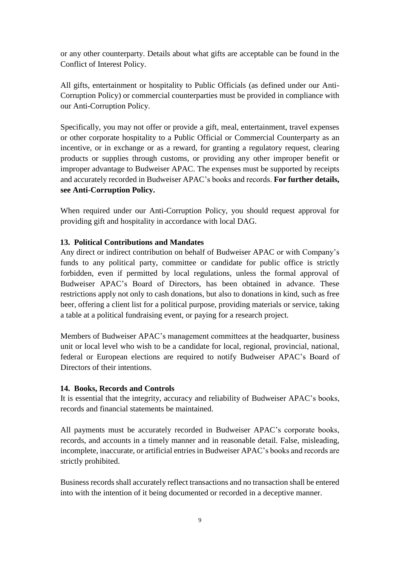or any other counterparty. Details about what gifts are acceptable can be found in the Conflict of Interest Policy.

All gifts, entertainment or hospitality to Public Officials (as defined under our Anti-Corruption Policy) or commercial counterparties must be provided in compliance with our Anti-Corruption Policy.

Specifically, you may not offer or provide a gift, meal, entertainment, travel expenses or other corporate hospitality to a Public Official or Commercial Counterparty as an incentive, or in exchange or as a reward, for granting a regulatory request, clearing products or supplies through customs, or providing any other improper benefit or improper advantage to Budweiser APAC. The expenses must be supported by receipts and accurately recorded in Budweiser APAC's books and records. **For further details, see Anti-Corruption Policy.**

When required under our Anti-Corruption Policy, you should request approval for providing gift and hospitality in accordance with local DAG.

#### <span id="page-9-0"></span>**13. Political Contributions and Mandates**

Any direct or indirect contribution on behalf of Budweiser APAC or with Company's funds to any political party, committee or candidate for public office is strictly forbidden, even if permitted by local regulations, unless the formal approval of Budweiser APAC's Board of Directors, has been obtained in advance. These restrictions apply not only to cash donations, but also to donations in kind, such as free beer, offering a client list for a political purpose, providing materials or service, taking a table at a political fundraising event, or paying for a research project.

Members of Budweiser APAC's management committees at the headquarter, business unit or local level who wish to be a candidate for local, regional, provincial, national, federal or European elections are required to notify Budweiser APAC's Board of Directors of their intentions.

#### <span id="page-9-1"></span>**14. Books, Records and Controls**

It is essential that the integrity, accuracy and reliability of Budweiser APAC's books, records and financial statements be maintained.

All payments must be accurately recorded in Budweiser APAC's corporate books, records, and accounts in a timely manner and in reasonable detail. False, misleading, incomplete, inaccurate, or artificial entries in Budweiser APAC's books and records are strictly prohibited.

Business records shall accurately reflect transactions and no transaction shall be entered into with the intention of it being documented or recorded in a deceptive manner.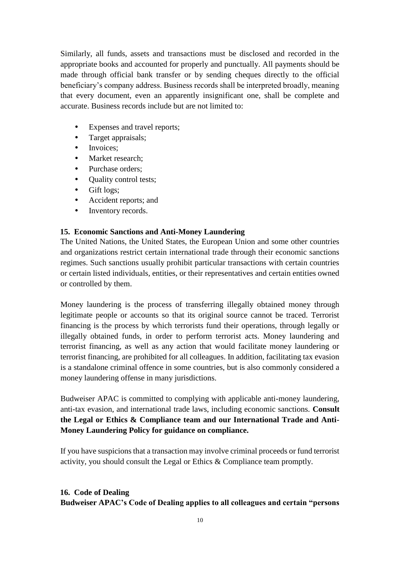Similarly, all funds, assets and transactions must be disclosed and recorded in the appropriate books and accounted for properly and punctually. All payments should be made through official bank transfer or by sending cheques directly to the official beneficiary's company address. Business records shall be interpreted broadly, meaning that every document, even an apparently insignificant one, shall be complete and accurate. Business records include but are not limited to:

- Expenses and travel reports;
- Target appraisals;
- Invoices:
- Market research;
- Purchase orders;
- Quality control tests;
- Gift logs;
- Accident reports; and
- Inventory records.

## <span id="page-10-0"></span>**15. Economic Sanctions and Anti-Money Laundering**

The United Nations, the United States, the European Union and some other countries and organizations restrict certain international trade through their economic sanctions regimes. Such sanctions usually prohibit particular transactions with certain countries or certain listed individuals, entities, or their representatives and certain entities owned or controlled by them.

Money laundering is the process of transferring illegally obtained money through legitimate people or accounts so that its original source cannot be traced. Terrorist financing is the process by which terrorists fund their operations, through legally or illegally obtained funds, in order to perform terrorist acts. Money laundering and terrorist financing, as well as any action that would facilitate money laundering or terrorist financing, are prohibited for all colleagues. In addition, facilitating tax evasion is a standalone criminal offence in some countries, but is also commonly considered a money laundering offense in many jurisdictions.

Budweiser APAC is committed to complying with applicable anti-money laundering, anti-tax evasion, and international trade laws, including economic sanctions. **Consult the Legal or Ethics & Compliance team and our International Trade and Anti-Money Laundering Policy for guidance on compliance.**

If you have suspicions that a transaction may involve criminal proceeds or fund terrorist activity, you should consult the Legal or Ethics & Compliance team promptly.

# <span id="page-10-1"></span>**16. Code of Dealing Budweiser APAC's Code of Dealing applies to all colleagues and certain "persons**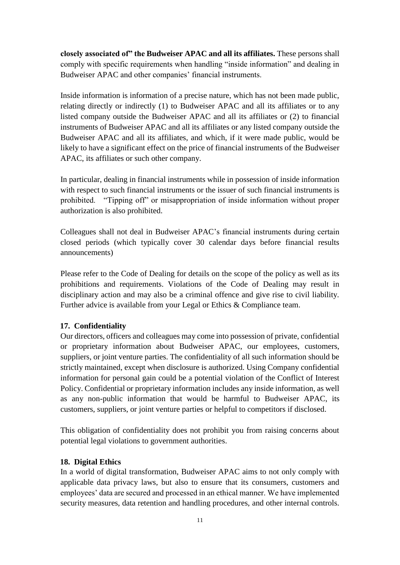**closely associated of" the Budweiser APAC and all its affiliates.** These persons shall comply with specific requirements when handling "inside information" and dealing in Budweiser APAC and other companies' financial instruments.

Inside information is information of a precise nature, which has not been made public, relating directly or indirectly (1) to Budweiser APAC and all its affiliates or to any listed company outside the Budweiser APAC and all its affiliates or (2) to financial instruments of Budweiser APAC and all its affiliates or any listed company outside the Budweiser APAC and all its affiliates, and which, if it were made public, would be likely to have a significant effect on the price of financial instruments of the Budweiser APAC, its affiliates or such other company.

In particular, dealing in financial instruments while in possession of inside information with respect to such financial instruments or the issuer of such financial instruments is prohibited. "Tipping off" or misappropriation of inside information without proper authorization is also prohibited.

Colleagues shall not deal in Budweiser APAC's financial instruments during certain closed periods (which typically cover 30 calendar days before financial results announcements)

Please refer to the Code of Dealing for details on the scope of the policy as well as its prohibitions and requirements. Violations of the Code of Dealing may result in disciplinary action and may also be a criminal offence and give rise to civil liability. Further advice is available from your Legal or Ethics & Compliance team.

#### <span id="page-11-0"></span>**17. Confidentiality**

Our directors, officers and colleagues may come into possession of private, confidential or proprietary information about Budweiser APAC, our employees, customers, suppliers, or joint venture parties. The confidentiality of all such information should be strictly maintained, except when disclosure is authorized. Using Company confidential information for personal gain could be a potential violation of the Conflict of Interest Policy. Confidential or proprietary information includes any inside information, as well as any non-public information that would be harmful to Budweiser APAC, its customers, suppliers, or joint venture parties or helpful to competitors if disclosed.

This obligation of confidentiality does not prohibit you from raising concerns about potential legal violations to government authorities.

#### <span id="page-11-1"></span>**18. Digital Ethics**

In a world of digital transformation, Budweiser APAC aims to not only comply with applicable data privacy laws, but also to ensure that its consumers, customers and employees' data are secured and processed in an ethical manner. We have implemented security measures, data retention and handling procedures, and other internal controls.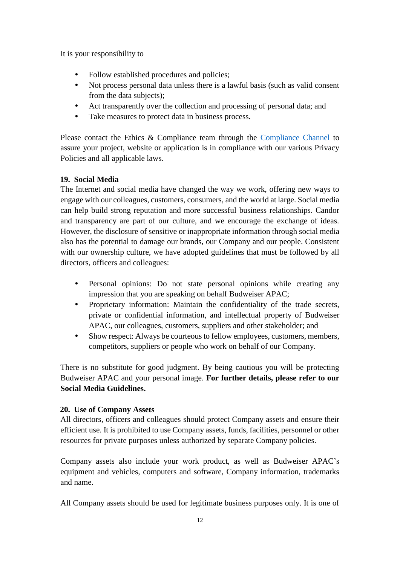It is your responsibility to

- Follow established procedures and policies;
- Not process personal data unless there is a lawful basis (such as valid consent from the data subjects);
- Act transparently over the collection and processing of personal data; and
- Take measures to protect data in business process.

Please contact the Ethics & Compliance team through the [Compliance Channel](http://compliancechannel.budweiserapac.com/) to assure your project, website or application is in compliance with our various Privacy Policies and all applicable laws.

## <span id="page-12-0"></span>**19. Social Media**

The Internet and social media have changed the way we work, offering new ways to engage with our colleagues, customers, consumers, and the world at large. Social media can help build strong reputation and more successful business relationships. Candor and transparency are part of our culture, and we encourage the exchange of ideas. However, the disclosure of sensitive or inappropriate information through social media also has the potential to damage our brands, our Company and our people. Consistent with our ownership culture, we have adopted guidelines that must be followed by all directors, officers and colleagues:

- Personal opinions: Do not state personal opinions while creating any impression that you are speaking on behalf Budweiser APAC;
- Proprietary information: Maintain the confidentiality of the trade secrets, private or confidential information, and intellectual property of Budweiser APAC, our colleagues, customers, suppliers and other stakeholder; and
- Show respect: Always be courteous to fellow employees, customers, members, competitors, suppliers or people who work on behalf of our Company.

There is no substitute for good judgment. By being cautious you will be protecting Budweiser APAC and your personal image. **For further details, please refer to our Social Media Guidelines.**

## <span id="page-12-1"></span>**20. Use of Company Assets**

All directors, officers and colleagues should protect Company assets and ensure their efficient use. It is prohibited to use Company assets, funds, facilities, personnel or other resources for private purposes unless authorized by separate Company policies.

Company assets also include your work product, as well as Budweiser APAC's equipment and vehicles, computers and software, Company information, trademarks and name.

All Company assets should be used for legitimate business purposes only. It is one of